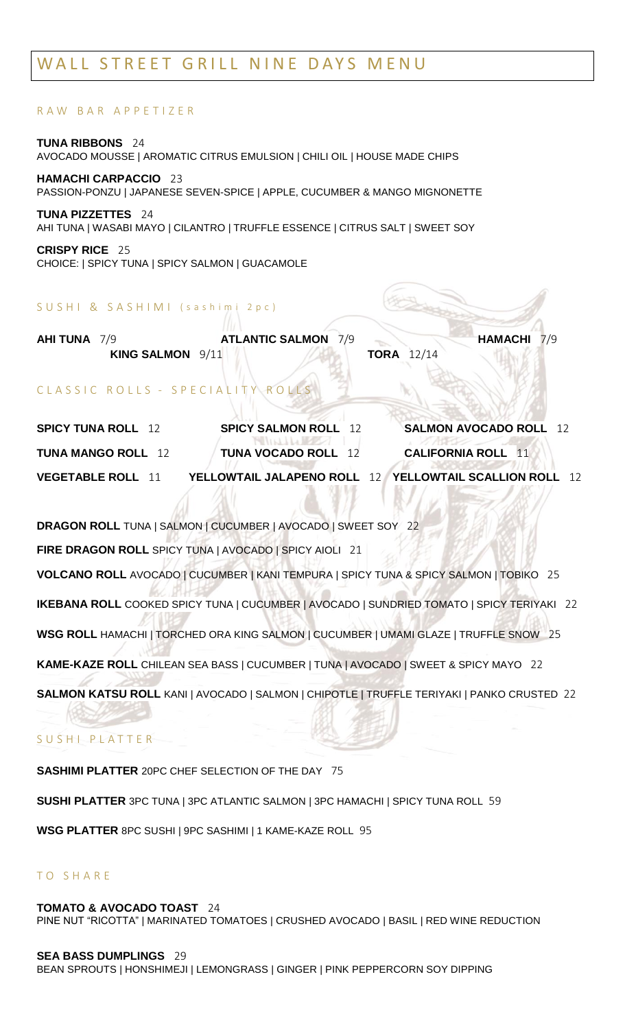# WALL STREET GRILL NINE DAYS MENU

### R A W B A R A P P E T I Z E R

**TUNA RIBBONS** 24 AVOCADO MOUSSE | AROMATIC CITRUS EMULSION | CHILI OIL | HOUSE MADE CHIPS

**HAMACHI CARPACCIO** 23 PASSION-PONZU | JAPANESE SEVEN-SPICE | APPLE, CUCUMBER & MANGO MIGNONETTE

**TUNA PIZZETTES** 24 AHI TUNA | WASABI MAYO | CILANTRO | TRUFFLE ESSENCE | CITRUS SALT | SWEET SOY

**CRISPY RICE** 25 CHOICE: | SPICY TUNA | SPICY SALMON | GUACAMOLE

#### SUSHI & SASHIMI (sashimi 2pc)

| <b>AHI TUNA</b> 7/9 | <b>ATLANTIC SALMON 7/9</b> |                   | <b>HAMACHI 7/9</b> |
|---------------------|----------------------------|-------------------|--------------------|
| KING SALMON 9/11    |                            | <b>TORA</b> 12/14 |                    |

### CLASSIC ROLLS - SPECIALITY ROLLS

| <b>SPICY TUNA ROLL</b> 12 | <b>SPICY SALMON ROLL</b> 12                                                                                                | <b>SALMON AVOCADO ROLL</b> 12<br><b>Autor Autor</b>                                               |
|---------------------------|----------------------------------------------------------------------------------------------------------------------------|---------------------------------------------------------------------------------------------------|
| <b>TUNA MANGO ROLL</b> 12 | <b>NULLEY</b><br><b>TUNA VOCADO ROLL</b> 12<br>the property of the control of the control of the control of the control of | <b>CALIFORNIA ROLL</b> 11                                                                         |
| <b>VEGETABLE ROLL</b> 11  |                                                                                                                            | <b><i>P</i> A CONSCIOUS AND A</b><br>YELLOWTAIL JALAPENO ROLL 12 YELLOWTAIL SCALLION ROLL<br>- 12 |

**DRAGON ROLL** TUNA | SALMON | CUCUMBER | AVOCADO | SWEET SOY 22 **FIRE DRAGON ROLL** SPICY TUNA | AVOCADO | SPICY AIOLI 21 **VOLCANO ROLL** AVOCADO | CUCUMBER | KANI TEMPURA | SPICY TUNA & SPICY SALMON | TOBIKO 25 **IKEBANA ROLL** COOKED SPICY TUNA | CUCUMBER | AVOCADO | SUNDRIED TOMATO | SPICY TERIYAKI 22 **WSG ROLL** HAMACHI | TORCHED ORA KING SALMON | CUCUMBER | UMAMI GLAZE | TRUFFLE SNOW 25 **KAME-KAZE ROLL** CHILEAN SEA BASS | CUCUMBER | TUNA | AVOCADO | SWEET & SPICY MAYO 22 **SALMON KATSU ROLL** KANI | AVOCADO | SALMON | CHIPOTLE | TRUFFLE TERIYAKI | PANKO CRUSTED 22

## SUSHI PLATTER

**SASHIMI PLATTER** 20PC CHEF SELECTION OF THE DAY 75

**SUSHI PLATTER** 3PC TUNA | 3PC ATLANTIC SALMON | 3PC HAMACHI | SPICY TUNA ROLL 59

**WSG PLATTER** 8PC SUSHI | 9PC SASHIMI | 1 KAME-KAZE ROLL 95

### T O S H A R E

#### **TOMATO & AVOCADO TOAST** 24

PINE NUT "RICOTTA" | MARINATED TOMATOES | CRUSHED AVOCADO | BASIL | RED WINE REDUCTION

#### **SEA BASS DUMPLINGS** 29

BEAN SPROUTS | HONSHIMEJI | LEMONGRASS | GINGER | PINK PEPPERCORN SOY DIPPING